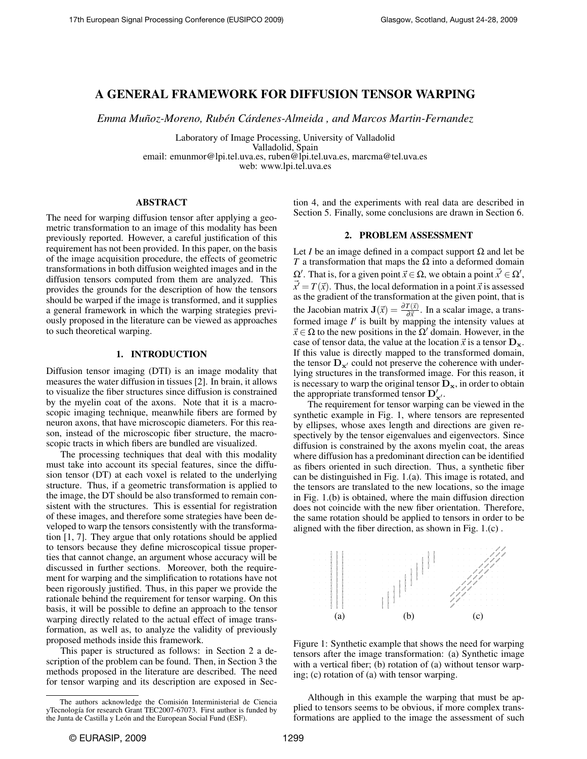# A GENERAL FRAMEWORK FOR DIFFUSION TENSOR WARPING

*Emma Munoz-Moreno, Rub ˜ en C ´ ardenes-Almeida , and Marcos Martin-Fernandez ´*

Laboratory of Image Processing, University of Valladolid Valladolid, Spain email: emunmor@lpi.tel.uva.es, ruben@lpi.tel.uva.es, marcma@tel.uva.es web: www.lpi.tel.uva.es

## ABSTRACT

The need for warping diffusion tensor after applying a geometric transformation to an image of this modality has been previously reported. However, a careful justification of this requirement has not been provided. In this paper, on the basis of the image acquisition procedure, the effects of geometric transformations in both diffusion weighted images and in the diffusion tensors computed from them are analyzed. This provides the grounds for the description of how the tensors should be warped if the image is transformed, and it supplies a general framework in which the warping strategies previously proposed in the literature can be viewed as approaches to such theoretical warping.

# 1. INTRODUCTION

Diffusion tensor imaging (DTI) is an image modality that measures the water diffusion in tissues [2]. In brain, it allows to visualize the fiber structures since diffusion is constrained by the myelin coat of the axons. Note that it is a macroscopic imaging technique, meanwhile fibers are formed by neuron axons, that have microscopic diameters. For this reason, instead of the microscopic fiber structure, the macroscopic tracts in which fibers are bundled are visualized.

The processing techniques that deal with this modality must take into account its special features, since the diffusion tensor (DT) at each voxel is related to the underlying structure. Thus, if a geometric transformation is applied to the image, the DT should be also transformed to remain consistent with the structures. This is essential for registration of these images, and therefore some strategies have been developed to warp the tensors consistently with the transformation [1, 7]. They argue that only rotations should be applied to tensors because they define microscopical tissue properties that cannot change, an argument whose accuracy will be discussed in further sections. Moreover, both the requirement for warping and the simplification to rotations have not been rigorously justified. Thus, in this paper we provide the rationale behind the requirement for tensor warping. On this basis, it will be possible to define an approach to the tensor warping directly related to the actual effect of image transformation, as well as, to analyze the validity of previously proposed methods inside this framework.

This paper is structured as follows: in Section 2 a description of the problem can be found. Then, in Section 3 the methods proposed in the literature are described. The need for tensor warping and its description are exposed in Section 4, and the experiments with real data are described in Section 5. Finally, some conclusions are drawn in Section 6.

### 2. PROBLEM ASSESSMENT

Let *I* be an image defined in a compact support  $\Omega$  and let be *T* a transformation that maps the  $\Omega$  into a deformed domain  $\Omega'$ . That is, for a given point  $\vec{x} \in \Omega$ , we obtain a point  $\vec{x'} \in \Omega'$ ,  $\vec{x'} = T(\vec{x})$ . Thus, the local deformation in a point  $\vec{x}$  is assessed as the gradient of the transformation at the given point, that is the Jacobian matrix  $J(\vec{x}) = \frac{\partial T(\vec{x})}{\partial \vec{x}}$ . In a scalar image, a transformed image  $I'$  is built by mapping the intensity values at  $\vec{x} \in \Omega$  to the new positions in the  $\Omega'$  domain. However, in the case of tensor data, the value at the location  $\vec{x}$  is a tensor  $D_{\bf{x}}$ . If this value is directly mapped to the transformed domain, the tensor  $D_{x'}$  could not preserve the coherence with underlying structures in the transformed image. For this reason, it is necessary to warp the original tensor  $D_x$ , in order to obtain the appropriate transformed tensor  $D'_{x'}$ .

The requirement for tensor warping can be viewed in the synthetic example in Fig. 1, where tensors are represented by ellipses, whose axes length and directions are given respectively by the tensor eigenvalues and eigenvectors. Since diffusion is constrained by the axons myelin coat, the areas where diffusion has a predominant direction can be identified as fibers oriented in such direction. Thus, a synthetic fiber can be distinguished in Fig. 1.(a). This image is rotated, and the tensors are translated to the new locations, so the image in Fig. 1.(b) is obtained, where the main diffusion direction does not coincide with the new fiber orientation. Therefore, the same rotation should be applied to tensors in order to be aligned with the fiber direction, as shown in Fig. 1.(c) .



Figure 1: Synthetic example that shows the need for warping tensors after the image transformation: (a) Synthetic image with a vertical fiber; (b) rotation of (a) without tensor warping; (c) rotation of (a) with tensor warping.

Although in this example the warping that must be applied to tensors seems to be obvious, if more complex transformations are applied to the image the assessment of such

The authors acknowledge the Comision Interministerial de Ciencia ´ yTecnología for research Grant TEC2007-67073. First author is funded by the Junta de Castilla y León and the European Social Fund (ESF).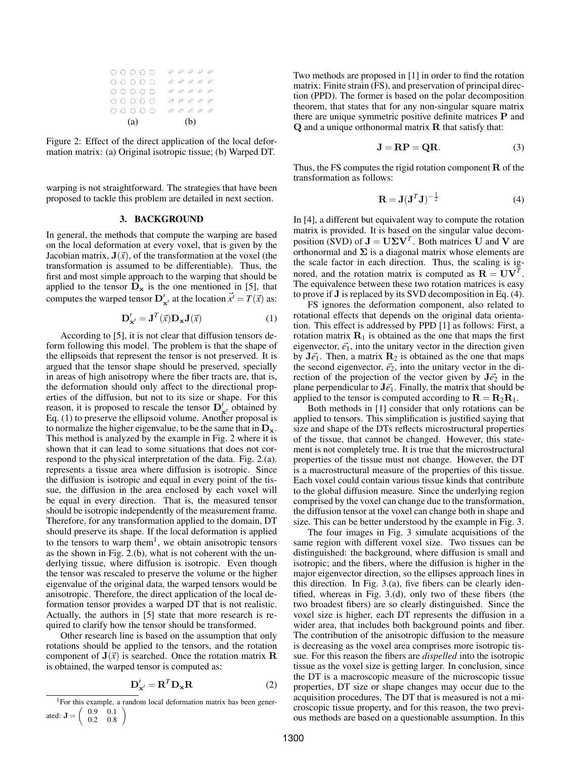|     |  | 0 0 0 0 0 |  |  |     |  | 00000 |  |  |
|-----|--|-----------|--|--|-----|--|-------|--|--|
|     |  | 00000     |  |  |     |  | 00000 |  |  |
|     |  | 0 0 0 0 0 |  |  |     |  | 00000 |  |  |
|     |  | 0 0 0 0 0 |  |  |     |  | 00000 |  |  |
|     |  | 00000     |  |  |     |  | 00000 |  |  |
| (a) |  |           |  |  | (b) |  |       |  |  |

Figure 2: Effect of the direct application of the local deformation matrix: (a) Original isotropic tissue; (b) Warped DT.

warping is not straightforward. The strategies that have been proposed to tackle this problem are detailed in next section.

# 3. BACKGROUND

In general, the methods that compute the warping are based on the local deformation at every voxel, that is given by the Jacobian matrix,  $J(\vec{x})$ , of the transformation at the voxel (the transformation is assumed to be differentiable). Thus, the first and most simple approach to the warping that should be applied to the tensor  $D_x$  is the one mentioned in [5], that computes the warped tensor  $\mathbf{D}'_{\mathbf{x}'}$  at the location  $\vec{x}' = T(\vec{x})$  as:

$$
\mathbf{D}_{\mathbf{x}'}' = \mathbf{J}^T(\vec{x}) \mathbf{D}_{\mathbf{x}} \mathbf{J}(\vec{x}) \tag{1}
$$

According to [5], it is not clear that diffusion tensors deform following this model. The problem is that the shape of the ellipsoids that represent the tensor is not preserved. It is argued that the tensor shape should be preserved, specially in areas of high anisotropy where the fiber tracts are, that is, the deformation should only affect to the directional properties of the diffusion, but not to its size or shape. For this reason, it is proposed to rescale the tensor  $D'_{x'}$  obtained by Eq. (1) to preserve the ellipsoid volume. Another proposal is to normalize the higher eigenvalue, to be the same that in  $D_x$ . This method is analyzed by the example in Fig. 2 where it is shown that it can lead to some situations that does not correspond to the physical interpretation of the data. Fig. 2.(a). represents a tissue area where diffusion is isotropic. Since the diffusion is isotropic and equal in every point of the tissue, the diffusion in the area enclosed by each voxel will be equal in every direction. That is, the measured tensor should be isotropic independently of the measurement frame. Therefore, for any transformation applied to the domain, DT should preserve its shape. If the local deformation is applied to the tensors to warp them<sup>1</sup>, we obtain anisotropic tensors as the shown in Fig. 2.(b), what is not coherent with the underlying tissue, where diffusion is isotropic. Even though the tensor was rescaled to preserve the volume or the higher eigenvalue of the original data, the warped tensors would be anisotropic. Therefore, the direct application of the local deformation tensor provides a warped DT that is not realistic. Actually, the authors in [5] state that more research is required to clarify how the tensor should be transformed.

Other research line is based on the assumption that only rotations should be applied to the tensors, and the rotation component of  $J(\vec{x})$  is searched. Once the rotation matrix R is obtained, the warped tensor is computed as:

$$
\mathbf{D}_{\mathbf{x}'}' = \mathbf{R}^T \mathbf{D}_{\mathbf{x}} \mathbf{R} \tag{2}
$$

Two methods are proposed in [1] in order to find the rotation matrix: Finite strain (FS), and preservation of principal direction (PPD). The former is based on the polar decomposition theorem, that states that for any non-singular square matrix there are unique symmetric positive definite matrices P and Q and a unique orthonormal matrix R that satisfy that:

$$
\mathbf{J} = \mathbf{RP} = \mathbf{QR}.\tag{3}
$$

Thus, the FS computes the rigid rotation component  **of the** transformation as follows:

$$
\mathbf{R} = \mathbf{J}(\mathbf{J}^T \mathbf{J})^{-\frac{1}{2}} \tag{4}
$$

In [4], a different but equivalent way to compute the rotation matrix is provided. It is based on the singular value decomposition (SVD) of  $J = U\Sigma V^T$ . Both matrices U and V are orthonormal and  $\Sigma$  is a diagonal matrix whose elements are the scale factor in each direction. Thus, the scaling is ignored, and the rotation matrix is computed as  $\mathbf{R} = \mathbf{U}\mathbf{V}^T$ . The equivalence between these two rotation matrices is easy to prove if J is replaced by its SVD decomposition in Eq. (4).

FS ignores the deformation component, also related to rotational effects that depends on the original data orientation. This effect is addressed by PPD [1] as follows: First, a rotation matrix  $\mathbf{R}_1$  is obtained as the one that maps the first eigenvector,  $\vec{e}_1$ , into the unitary vector in the direction given by  $J\vec{e}_1$ . Then, a matrix  $\mathbf{R}_2$  is obtained as the one that maps the second eigenvector,  $\vec{e}_2$ , into the unitary vector in the direction of the projection of the vector given by  $J\vec{e}_2$  in the plane perpendicular to  $J\vec{e_1}$ . Finally, the matrix that should be applied to the tensor is computed according to  $\mathbf{R} = \mathbf{R}_2 \mathbf{R}_1$ .

Both methods in [1] consider that only rotations can be applied to tensors. This simplification is justified saying that size and shape of the DTs reflects microstructural properties of the tissue, that cannot be changed. However, this statement is not completely true. It is true that the microstructural properties of the tissue must not change. However, the DT is a macrostructural measure of the properties of this tissue. Each voxel could contain various tissue kinds that contribute to the global diffusion measure. Since the underlying region comprised by the voxel can change due to the transformation, the diffusion tensor at the voxel can change both in shape and size. This can be better understood by the example in Fig. 3.

The four images in Fig. 3 simulate acquisitions of the same region with different voxel size. Two tissues can be distinguished: the background, where diffusion is small and isotropic; and the fibers, where the diffusion is higher in the major eigenvector direction, so the ellipses approach lines in this direction. In Fig. 3.(a), five fibers can be clearly identified, whereas in Fig. 3.(d), only two of these fibers (the two broadest fibers) are so clearly distinguished. Since the voxel size is higher, each DT represents the diffusion in a wider area, that includes both background points and fiber. The contribution of the anisotropic diffusion to the measure is decreasing as the voxel area comprises more isotropic tissue. For this reason the fibers are *dispelled* into the isotropic tissue as the voxel size is getting larger. In conclusion, since the DT is a macroscopic measure of the microscopic tissue properties, DT size or shape changes may occur due to the acquisition procedures. The DT that is measured is not a microscopic tissue property, and for this reason, the two previous methods are based on a questionable assumption. In this

<sup>&</sup>lt;sup>1</sup>For this example, a random local deformation matrix has been generated:  $J = \begin{pmatrix} 0.9 & 0.1 \\ 0.2 & 0.8 \end{pmatrix}$ 0.2 0.8  $\setminus$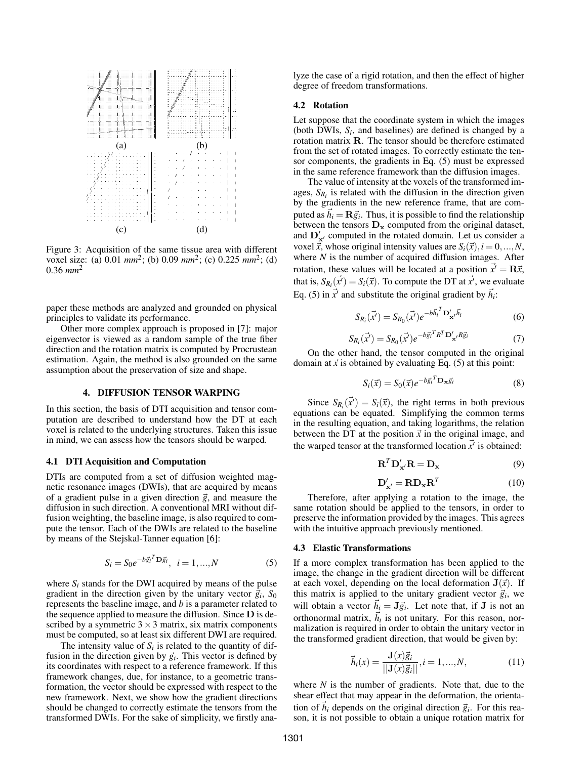

Figure 3: Acquisition of the same tissue area with different voxel size: (a) 0.01  $mm^2$ ; (b) 0.09  $mm^2$ ; (c) 0.225  $mm^2$ ; (d)  $0.36$   $mm^2$ 

paper these methods are analyzed and grounded on physical principles to validate its performance.

Other more complex approach is proposed in [7]: major eigenvector is viewed as a random sample of the true fiber direction and the rotation matrix is computed by Procrustean estimation. Again, the method is also grounded on the same assumption about the preservation of size and shape.

## 4. DIFFUSION TENSOR WARPING

In this section, the basis of DTI acquisition and tensor computation are described to understand how the DT at each voxel is related to the underlying structures. Taken this issue in mind, we can assess how the tensors should be warped.

# 4.1 DTI Acquisition and Computation

DTIs are computed from a set of diffusion weighted magnetic resonance images (DWIs), that are acquired by means of a gradient pulse in a given direction  $\vec{g}$ , and measure the diffusion in such direction. A conventional MRI without diffusion weighting, the baseline image, is also required to compute the tensor. Each of the DWIs are related to the baseline by means of the Stejskal-Tanner equation [6]:

$$
S_i = S_0 e^{-b\vec{g}_i^T \mathbf{D} \vec{g}_i}, \ \ i = 1, ..., N \tag{5}
$$

where  $S_i$  stands for the DWI acquired by means of the pulse gradient in the direction given by the unitary vector  $\vec{g}_i$ ,  $S_0$ represents the baseline image, and *b* is a parameter related to the sequence applied to measure the diffusion. Since  $D$  is described by a symmetric  $3 \times 3$  matrix, six matrix components must be computed, so at least six different DWI are required.

The intensity value of  $S_i$  is related to the quantity of diffusion in the direction given by  $\vec{g}_i$ . This vector is defined by its coordinates with respect to a reference framework. If this framework changes, due, for instance, to a geometric transformation, the vector should be expressed with respect to the new framework. Next, we show how the gradient directions should be changed to correctly estimate the tensors from the transformed DWIs. For the sake of simplicity, we firstly analyze the case of a rigid rotation, and then the effect of higher degree of freedom transformations.

#### 4.2 Rotation

Let suppose that the coordinate system in which the images (both DWIs,  $S_i$ , and baselines) are defined is changed by a rotation matrix R. The tensor should be therefore estimated from the set of rotated images. To correctly estimate the tensor components, the gradients in Eq. (5) must be expressed in the same reference framework than the diffusion images.

The value of intensity at the voxels of the transformed images,  $S_{R_i}$  is related with the diffusion in the direction given by the gradients in the new reference frame, that are computed as  $\vec{h}_i = \mathbf{R}\vec{g}_i$ . Thus, it is possible to find the relationship between the tensors  $D_x$  computed from the original dataset, and  $D'_{x'}$  computed in the rotated domain. Let us consider a voxel  $\vec{x}$ , whose original intensity values are  $S_i(\vec{x}), i = 0, ..., N$ , where  $N$  is the number of acquired diffusion images. After rotation, these values will be located at a position  $\vec{x}' = \mathbf{R}\vec{x}$ , that is,  $S_{R_i}(\vec{x}') = S_i(\vec{x})$ . To compute the DT at  $\vec{x}'$ , we evaluate Eq. (5) in  $\vec{x}$  and substitute the original gradient by  $\vec{h}_i$ :

$$
S_{R_i}(\vec{x'}) = S_{R_0}(\vec{x'})e^{-b\vec{h_i}^T \mathbf{D}'_{\mathbf{x}'} \vec{h_i}}
$$
(6)

$$
S_{R_i}(\vec{x'}) = S_{R_0}(\vec{x'})e^{-b\vec{g}_i^T R^T \mathbf{D}'_{\mathbf{x'}} R \vec{g}_i}
$$
(7)

On the other hand, the tensor computed in the original domain at  $\vec{x}$  is obtained by evaluating Eq. (5) at this point:

$$
S_i(\vec{x}) = S_0(\vec{x})e^{-b\vec{g}_i^T \mathbf{D}_{\mathbf{x}} \vec{g}_i}
$$
 (8)

Since  $S_{R_i}(\vec{x}') = S_i(\vec{x})$ , the right terms in both previous equations can be equated. Simplifying the common terms in the resulting equation, and taking logarithms, the relation between the DT at the position  $\vec{x}$  in the original image, and the warped tensor at the transformed location  $\vec{x}$  is obtained:

$$
\mathbf{R}^T \mathbf{D}_{\mathbf{x}'}' \mathbf{R} = \mathbf{D}_{\mathbf{x}} \tag{9}
$$

$$
\mathbf{D}'_{\mathbf{x}'} = \mathbf{R} \mathbf{D}_{\mathbf{x}} \mathbf{R}^T
$$
 (10)

Therefore, after applying a rotation to the image, the same rotation should be applied to the tensors, in order to preserve the information provided by the images. This agrees with the intuitive approach previously mentioned.

#### 4.3 Elastic Transformations

If a more complex transformation has been applied to the image, the change in the gradient direction will be different at each voxel, depending on the local deformation  $J(\vec{x})$ . If this matrix is applied to the unitary gradient vector  $\vec{g}_i$ , we will obtain a vector  $\vec{h}_i = \mathbf{J}\vec{g}_i$ . Let note that, if **J** is not an orthonormal matrix,  $\vec{h}_i$  is not unitary. For this reason, normalization is required in order to obtain the unitary vector in the transformed gradient direction, that would be given by:

$$
\vec{h}_i(x) = \frac{\mathbf{J}(x)\vec{g}_i}{||\mathbf{J}(x)\vec{g}_i||}, i = 1, ..., N,
$$
 (11)

where *N* is the number of gradients. Note that, due to the shear effect that may appear in the deformation, the orientation of  $\vec{h}_i$  depends on the original direction  $\vec{g}_i$ . For this reason, it is not possible to obtain a unique rotation matrix for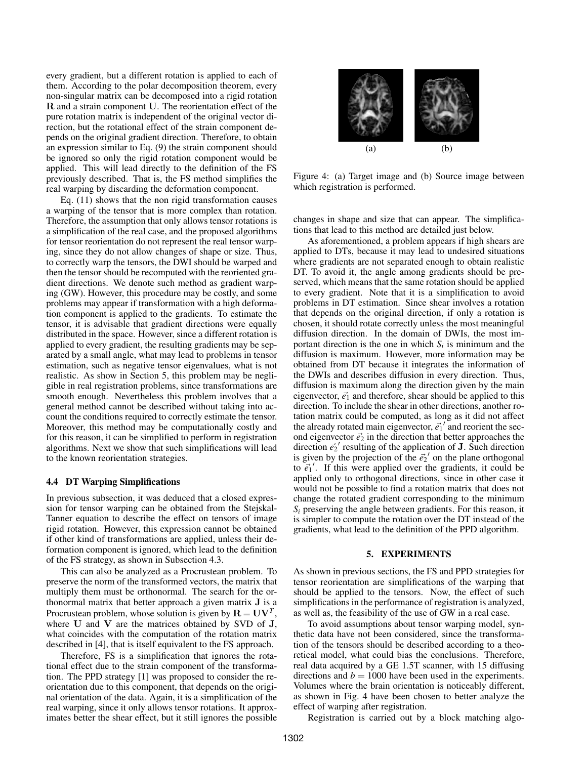every gradient, but a different rotation is applied to each of them. According to the polar decomposition theorem, every non-singular matrix can be decomposed into a rigid rotation R and a strain component U. The reorientation effect of the pure rotation matrix is independent of the original vector direction, but the rotational effect of the strain component depends on the original gradient direction. Therefore, to obtain an expression similar to Eq. (9) the strain component should be ignored so only the rigid rotation component would be applied. This will lead directly to the definition of the FS previously described. That is, the FS method simplifies the real warping by discarding the deformation component.

Eq. (11) shows that the non rigid transformation causes a warping of the tensor that is more complex than rotation. Therefore, the assumption that only allows tensor rotations is a simplification of the real case, and the proposed algorithms for tensor reorientation do not represent the real tensor warping, since they do not allow changes of shape or size. Thus, to correctly warp the tensors, the DWI should be warped and then the tensor should be recomputed with the reoriented gradient directions. We denote such method as gradient warping (GW). However, this procedure may be costly, and some problems may appear if transformation with a high deformation component is applied to the gradients. To estimate the tensor, it is advisable that gradient directions were equally distributed in the space. However, since a different rotation is applied to every gradient, the resulting gradients may be separated by a small angle, what may lead to problems in tensor estimation, such as negative tensor eigenvalues, what is not realistic. As show in Section 5, this problem may be negligible in real registration problems, since transformations are smooth enough. Nevertheless this problem involves that a general method cannot be described without taking into account the conditions required to correctly estimate the tensor. Moreover, this method may be computationally costly and for this reason, it can be simplified to perform in registration algorithms. Next we show that such simplifications will lead to the known reorientation strategies.

#### 4.4 DT Warping Simplifications

In previous subsection, it was deduced that a closed expression for tensor warping can be obtained from the Stejskal-Tanner equation to describe the effect on tensors of image rigid rotation. However, this expression cannot be obtained if other kind of transformations are applied, unless their deformation component is ignored, which lead to the definition of the FS strategy, as shown in Subsection 4.3.

This can also be analyzed as a Procrustean problem. To preserve the norm of the transformed vectors, the matrix that multiply them must be orthonormal. The search for the orthonormal matrix that better approach a given matrix J is a Procrustean problem, whose solution is given by  $\mathbf{R} = \mathbf{U}\mathbf{V}^T$ , where  $U$  and  $V$  are the matrices obtained by SVD of  $J$ , what coincides with the computation of the rotation matrix described in [4], that is itself equivalent to the FS approach.

Therefore, FS is a simplification that ignores the rotational effect due to the strain component of the transformation. The PPD strategy [1] was proposed to consider the reorientation due to this component, that depends on the original orientation of the data. Again, it is a simplification of the real warping, since it only allows tensor rotations. It approximates better the shear effect, but it still ignores the possible



Figure 4: (a) Target image and (b) Source image between which registration is performed.

changes in shape and size that can appear. The simplifications that lead to this method are detailed just below.

As aforementioned, a problem appears if high shears are applied to DTs, because it may lead to undesired situations where gradients are not separated enough to obtain realistic DT. To avoid it, the angle among gradients should be preserved, which means that the same rotation should be applied to every gradient. Note that it is a simplification to avoid problems in DT estimation. Since shear involves a rotation that depends on the original direction, if only a rotation is chosen, it should rotate correctly unless the most meaningful diffusion direction. In the domain of DWIs, the most important direction is the one in which  $S_i$  is minimum and the diffusion is maximum. However, more information may be obtained from DT because it integrates the information of the DWIs and describes diffusion in every direction. Thus, diffusion is maximum along the direction given by the main eigenvector,  $\vec{e}_1$  and therefore, shear should be applied to this direction. To include the shear in other directions, another rotation matrix could be computed, as long as it did not affect the already rotated main eigenvector,  $\vec{e_1}'$  and reorient the second eigenvector  $\vec{e}_2$  in the direction that better approaches the direction  $\vec{e}_2$ <sup>'</sup> resulting of the application of **J**. Such direction is given by the projection of the  $\vec{e_2}$  on the plane orthogonal to  $\vec{e}_1$ <sup>'</sup>. If this were applied over the gradients, it could be applied only to orthogonal directions, since in other case it would not be possible to find a rotation matrix that does not change the rotated gradient corresponding to the minimum  $S_i$  preserving the angle between gradients. For this reason, it is simpler to compute the rotation over the DT instead of the gradients, what lead to the definition of the PPD algorithm.

#### 5. EXPERIMENTS

As shown in previous sections, the FS and PPD strategies for tensor reorientation are simplifications of the warping that should be applied to the tensors. Now, the effect of such simplifications in the performance of registration is analyzed, as well as, the feasibility of the use of GW in a real case.

To avoid assumptions about tensor warping model, synthetic data have not been considered, since the transformation of the tensors should be described according to a theoretical model, what could bias the conclusions. Therefore, real data acquired by a GE 1.5T scanner, with 15 diffusing directions and  $b = 1000$  have been used in the experiments. Volumes where the brain orientation is noticeably different, as shown in Fig. 4 have been chosen to better analyze the effect of warping after registration.

Registration is carried out by a block matching algo-